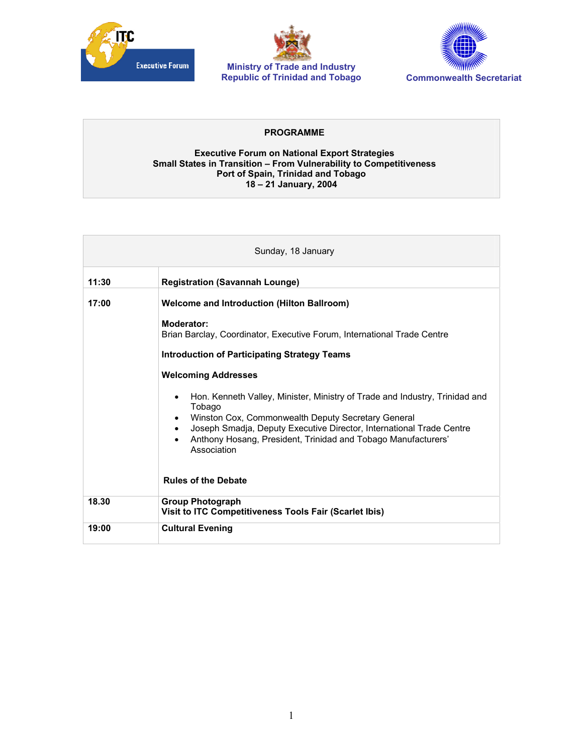





## **PROGRAMME**

## **Executive Forum on National Export Strategies Small States in Transition – From Vulnerability to Competitiveness Port of Spain, Trinidad and Tobago 18 – 21 January, 2004**

| Sunday, 18 January |                                                                                                                                                                                                                                                                                                                                                                                                                                                                                                                                        |
|--------------------|----------------------------------------------------------------------------------------------------------------------------------------------------------------------------------------------------------------------------------------------------------------------------------------------------------------------------------------------------------------------------------------------------------------------------------------------------------------------------------------------------------------------------------------|
| 11:30              | <b>Registration (Savannah Lounge)</b>                                                                                                                                                                                                                                                                                                                                                                                                                                                                                                  |
| 17:00              | <b>Welcome and Introduction (Hilton Ballroom)</b><br>Moderator:<br>Brian Barclay, Coordinator, Executive Forum, International Trade Centre<br><b>Introduction of Participating Strategy Teams</b><br><b>Welcoming Addresses</b><br>Hon. Kenneth Valley, Minister, Ministry of Trade and Industry, Trinidad and<br>Tobago<br>Winston Cox, Commonwealth Deputy Secretary General<br>Joseph Smadja, Deputy Executive Director, International Trade Centre<br>Anthony Hosang, President, Trinidad and Tobago Manufacturers'<br>Association |
|                    | <b>Rules of the Debate</b>                                                                                                                                                                                                                                                                                                                                                                                                                                                                                                             |
| 18.30              | <b>Group Photograph</b><br>Visit to ITC Competitiveness Tools Fair (Scarlet Ibis)                                                                                                                                                                                                                                                                                                                                                                                                                                                      |
| 19:00              | <b>Cultural Evening</b>                                                                                                                                                                                                                                                                                                                                                                                                                                                                                                                |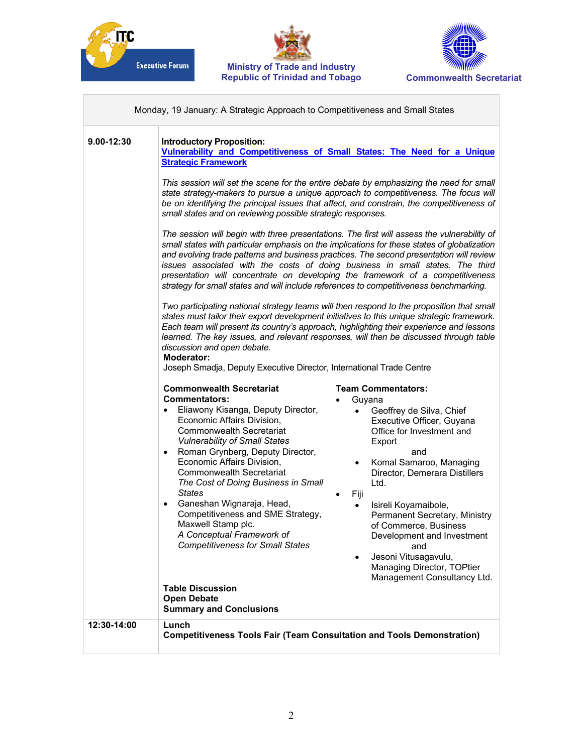





|                | Monday, 19 January: A Strategic Approach to Competitiveness and Small States                                                                                                                                                                                                                                                                                                                                                                                                                                                                                                                                                                                                                                                                                                                                                                                                                                                                                                                                                                                                                                                                                                                                                                                                                                                                                                                                                                                                                                                                                 |  |
|----------------|--------------------------------------------------------------------------------------------------------------------------------------------------------------------------------------------------------------------------------------------------------------------------------------------------------------------------------------------------------------------------------------------------------------------------------------------------------------------------------------------------------------------------------------------------------------------------------------------------------------------------------------------------------------------------------------------------------------------------------------------------------------------------------------------------------------------------------------------------------------------------------------------------------------------------------------------------------------------------------------------------------------------------------------------------------------------------------------------------------------------------------------------------------------------------------------------------------------------------------------------------------------------------------------------------------------------------------------------------------------------------------------------------------------------------------------------------------------------------------------------------------------------------------------------------------------|--|
| $9.00 - 12:30$ | <b>Introductory Proposition:</b><br>Vulnerability and Competitiveness of Small States: The Need for a Unique<br><b>Strategic Framework</b><br>This session will set the scene for the entire debate by emphasizing the need for small<br>state strategy-makers to pursue a unique approach to competitiveness. The focus will<br>be on identifying the principal issues that affect, and constrain, the competitiveness of<br>small states and on reviewing possible strategic responses.<br>The session will begin with three presentations. The first will assess the vulnerability of<br>small states with particular emphasis on the implications for these states of globalization<br>and evolving trade patterns and business practices. The second presentation will review<br>issues associated with the costs of doing business in small states. The third<br>presentation will concentrate on developing the framework of a competitiveness<br>strategy for small states and will include references to competitiveness benchmarking.<br>Two participating national strategy teams will then respond to the proposition that small<br>states must tailor their export development initiatives to this unique strategic framework.<br>Each team will present its country's approach, highlighting their experience and lessons<br>learned. The key issues, and relevant responses, will then be discussed through table<br>discussion and open debate.<br><b>Moderator:</b><br>Joseph Smadja, Deputy Executive Director, International Trade Centre |  |
|                | <b>Commonwealth Secretariat</b><br><b>Team Commentators:</b><br><b>Commentators:</b><br>Guyana<br>Eliawony Kisanga, Deputy Director,<br>Geoffrey de Silva, Chief<br>$\bullet$<br>Economic Affairs Division,<br>Executive Officer, Guyana<br><b>Commonwealth Secretariat</b><br>Office for Investment and<br><b>Vulnerability of Small States</b><br>Export<br>Roman Grynberg, Deputy Director,<br>and<br>$\bullet$<br>Economic Affairs Division,<br>• Komal Samaroo, Managing<br><b>Commonwealth Secretariat</b><br>Director, Demerara Distillers<br>The Cost of Doing Business in Small<br>Ltd.<br><b>States</b><br>Fiji<br>Ganeshan Wignaraja, Head,<br>$\bullet$<br>Isireli Koyamaibole,<br>$\bullet$<br>Competitiveness and SME Strategy,<br>Permanent Secretary, Ministry<br>Maxwell Stamp plc.<br>of Commerce, Business<br>A Conceptual Framework of<br>Development and Investment<br><b>Competitiveness for Small States</b><br>and<br>Jesoni Vitusagavulu,<br>$\bullet$<br>Managing Director, TOPtier<br>Management Consultancy Ltd.<br><b>Table Discussion</b><br><b>Open Debate</b><br><b>Summary and Conclusions</b>                                                                                                                                                                                                                                                                                                                                                                                                                              |  |
| 12:30-14:00    | Lunch<br><b>Competitiveness Tools Fair (Team Consultation and Tools Demonstration)</b>                                                                                                                                                                                                                                                                                                                                                                                                                                                                                                                                                                                                                                                                                                                                                                                                                                                                                                                                                                                                                                                                                                                                                                                                                                                                                                                                                                                                                                                                       |  |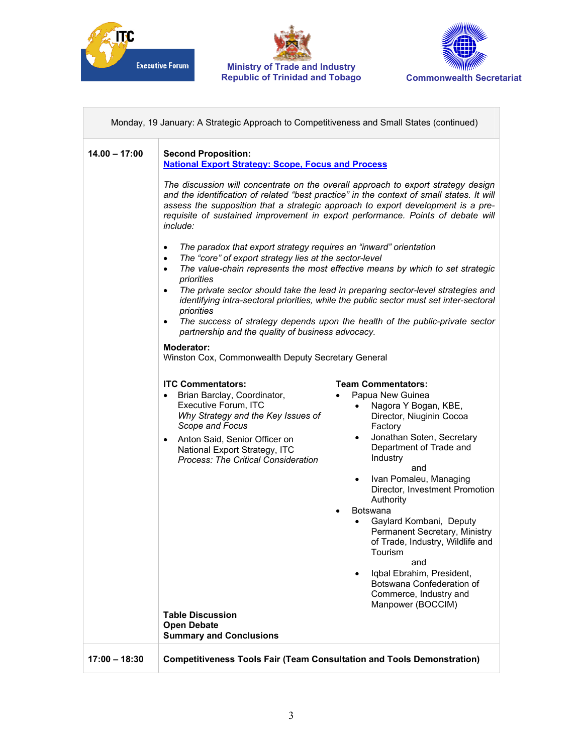

П





 $\overline{\phantom{0}}$ 

| Monday, 19 January: A Strategic Approach to Competitiveness and Small States (continued) |                                                                                                                                                                                                                                                                                                                                                                                                                                                                                                                                                                                                                                                                                                                                                                                                                                                                                                                                                   |
|------------------------------------------------------------------------------------------|---------------------------------------------------------------------------------------------------------------------------------------------------------------------------------------------------------------------------------------------------------------------------------------------------------------------------------------------------------------------------------------------------------------------------------------------------------------------------------------------------------------------------------------------------------------------------------------------------------------------------------------------------------------------------------------------------------------------------------------------------------------------------------------------------------------------------------------------------------------------------------------------------------------------------------------------------|
| $14.00 - 17:00$                                                                          | <b>Second Proposition:</b><br><b>National Export Strategy: Scope, Focus and Process</b><br>The discussion will concentrate on the overall approach to export strategy design<br>and the identification of related "best practice" in the context of small states. It will<br>assess the supposition that a strategic approach to export development is a pre-<br>requisite of sustained improvement in export performance. Points of debate will<br>include:                                                                                                                                                                                                                                                                                                                                                                                                                                                                                      |
|                                                                                          | The paradox that export strategy requires an "inward" orientation<br>$\bullet$<br>The "core" of export strategy lies at the sector-level<br>$\bullet$<br>The value-chain represents the most effective means by which to set strategic<br>$\bullet$<br>priorities<br>The private sector should take the lead in preparing sector-level strategies and<br>$\bullet$<br>identifying intra-sectoral priorities, while the public sector must set inter-sectoral<br>priorities<br>The success of strategy depends upon the health of the public-private sector<br>$\bullet$<br>partnership and the quality of business advocacy.<br>Moderator:<br>Winston Cox, Commonwealth Deputy Secretary General                                                                                                                                                                                                                                                  |
|                                                                                          | <b>ITC Commentators:</b><br><b>Team Commentators:</b><br>Brian Barclay, Coordinator,<br>Papua New Guinea<br>$\bullet$<br>$\bullet$<br>Executive Forum, ITC<br>Nagora Y Bogan, KBE,<br>$\bullet$<br>Why Strategy and the Key Issues of<br>Director, Niuginin Cocoa<br>Scope and Focus<br>Factory<br>Jonathan Soten, Secretary<br>$\bullet$<br>Anton Said, Senior Officer on<br>$\bullet$<br>Department of Trade and<br>National Export Strategy, ITC<br>Industry<br><b>Process: The Critical Consideration</b><br>and<br>Ivan Pomaleu, Managing<br>$\bullet$<br>Director, Investment Promotion<br>Authority<br>Botswana<br>Gaylard Kombani, Deputy<br>Permanent Secretary, Ministry<br>of Trade, Industry, Wildlife and<br>Tourism<br>and<br>Iqbal Ebrahim, President,<br>$\bullet$<br>Botswana Confederation of<br>Commerce, Industry and<br>Manpower (BOCCIM)<br><b>Table Discussion</b><br><b>Open Debate</b><br><b>Summary and Conclusions</b> |
| $17:00 - 18:30$                                                                          | <b>Competitiveness Tools Fair (Team Consultation and Tools Demonstration)</b>                                                                                                                                                                                                                                                                                                                                                                                                                                                                                                                                                                                                                                                                                                                                                                                                                                                                     |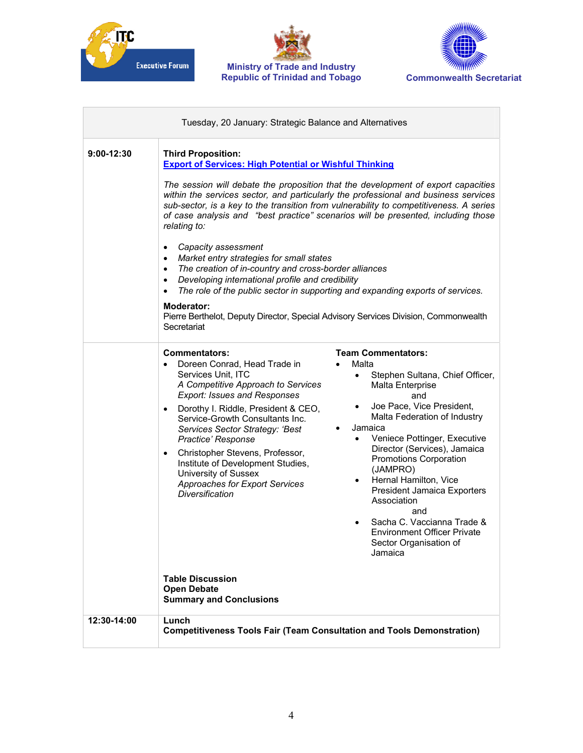





| Tuesday, 20 January: Strategic Balance and Alternatives |                                                                                                                                                                                                                                                                                                                                                                                                                                                                                                                                                                                                                                                                                                                                                                                                                                                                                                                                                                                                                                                                        |  |
|---------------------------------------------------------|------------------------------------------------------------------------------------------------------------------------------------------------------------------------------------------------------------------------------------------------------------------------------------------------------------------------------------------------------------------------------------------------------------------------------------------------------------------------------------------------------------------------------------------------------------------------------------------------------------------------------------------------------------------------------------------------------------------------------------------------------------------------------------------------------------------------------------------------------------------------------------------------------------------------------------------------------------------------------------------------------------------------------------------------------------------------|--|
| $9:00-12:30$                                            | <b>Third Proposition:</b><br><b>Export of Services: High Potential or Wishful Thinking</b><br>The session will debate the proposition that the development of export capacities<br>within the services sector, and particularly the professional and business services<br>sub-sector, is a key to the transition from vulnerability to competitiveness. A series<br>of case analysis and "best practice" scenarios will be presented, including those<br>relating to:<br>Capacity assessment<br>Market entry strategies for small states<br>The creation of in-country and cross-border alliances<br>$\bullet$<br>Developing international profile and credibility<br>$\bullet$<br>The role of the public sector in supporting and expanding exports of services.<br>$\bullet$<br><b>Moderator:</b><br>Pierre Berthelot, Deputy Director, Special Advisory Services Division, Commonwealth<br>Secretariat                                                                                                                                                              |  |
|                                                         | <b>Team Commentators:</b><br><b>Commentators:</b><br>Doreen Conrad, Head Trade in<br>Malta<br>$\bullet$<br>Services Unit, ITC<br>Stephen Sultana, Chief Officer,<br>$\bullet$<br>A Competitive Approach to Services<br>Malta Enterprise<br><b>Export: Issues and Responses</b><br>and<br>Joe Pace, Vice President,<br>Dorothy I. Riddle, President & CEO,<br>Malta Federation of Industry<br>Service-Growth Consultants Inc.<br>Jamaica<br>Services Sector Strategy: 'Best<br>Veniece Pottinger, Executive<br>Practice' Response<br>$\bullet$<br>Director (Services), Jamaica<br>Christopher Stevens, Professor,<br>Promotions Corporation<br>Institute of Development Studies,<br>(JAMPRO)<br>University of Sussex<br>Hernal Hamilton, Vice<br>$\bullet$<br>Approaches for Export Services<br>President Jamaica Exporters<br><b>Diversification</b><br>Association<br>and<br>Sacha C. Vaccianna Trade &<br><b>Environment Officer Private</b><br>Sector Organisation of<br>Jamaica<br><b>Table Discussion</b><br><b>Open Debate</b><br><b>Summary and Conclusions</b> |  |
| 12:30-14:00                                             | Lunch<br><b>Competitiveness Tools Fair (Team Consultation and Tools Demonstration)</b>                                                                                                                                                                                                                                                                                                                                                                                                                                                                                                                                                                                                                                                                                                                                                                                                                                                                                                                                                                                 |  |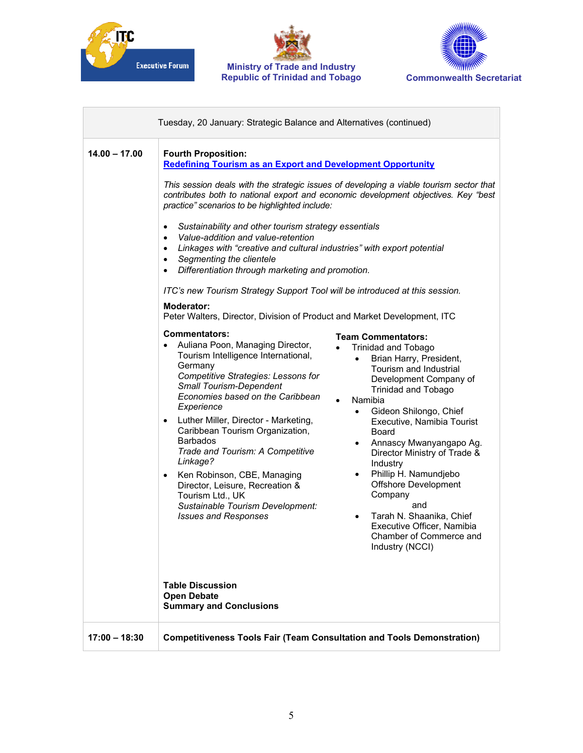





 $\overline{\phantom{a}}$ 

| $14.00 - 17.00$ | <b>Fourth Proposition:</b><br><b>Redefining Tourism as an Export and Development Opportunity</b><br>This session deals with the strategic issues of developing a viable tourism sector that<br>contributes both to national export and economic development objectives. Key "best<br>practice" scenarios to be highlighted include:<br>Sustainability and other tourism strategy essentials<br>٠<br>Value-addition and value-retention<br>$\bullet$<br>Linkages with "creative and cultural industries" with export potential<br>Segmenting the clientele<br>$\bullet$<br>Differentiation through marketing and promotion.<br>$\bullet$<br>ITC's new Tourism Strategy Support Tool will be introduced at this session.<br>Moderator:<br>Peter Walters, Director, Division of Product and Market Development, ITC                                                                                                                                                                                                                                                                                                                             |
|-----------------|----------------------------------------------------------------------------------------------------------------------------------------------------------------------------------------------------------------------------------------------------------------------------------------------------------------------------------------------------------------------------------------------------------------------------------------------------------------------------------------------------------------------------------------------------------------------------------------------------------------------------------------------------------------------------------------------------------------------------------------------------------------------------------------------------------------------------------------------------------------------------------------------------------------------------------------------------------------------------------------------------------------------------------------------------------------------------------------------------------------------------------------------|
|                 | <b>Commentators:</b><br><b>Team Commentators:</b><br>Auliana Poon, Managing Director,<br><b>Trinidad and Tobago</b><br>Tourism Intelligence International,<br>Brian Harry, President,<br>$\bullet$<br>Germany<br>Tourism and Industrial<br>Competitive Strategies: Lessons for<br>Development Company of<br><b>Small Tourism-Dependent</b><br><b>Trinidad and Tobago</b><br>Economies based on the Caribbean<br>Namibia<br>$\bullet$<br>Experience<br>Gideon Shilongo, Chief<br>$\bullet$<br>Luther Miller, Director - Marketing,<br>Executive, Namibia Tourist<br>$\bullet$<br>Caribbean Tourism Organization,<br>Board<br><b>Barbados</b><br>Annascy Mwanyangapo Ag.<br>$\bullet$<br>Trade and Tourism: A Competitive<br>Director Ministry of Trade &<br>Linkage?<br>Industry<br>Phillip H. Namundjebo<br>Ken Robinson, CBE, Managing<br>$\bullet$<br><b>Offshore Development</b><br>Director, Leisure, Recreation &<br>Company<br>Tourism Ltd., UK<br>and<br>Sustainable Tourism Development:<br>Tarah N. Shaanika, Chief<br><b>Issues and Responses</b><br>٠<br>Executive Officer, Namibia<br>Chamber of Commerce and<br>Industry (NCCI) |
|                 | <b>Table Discussion</b><br><b>Open Debate</b><br><b>Summary and Conclusions</b>                                                                                                                                                                                                                                                                                                                                                                                                                                                                                                                                                                                                                                                                                                                                                                                                                                                                                                                                                                                                                                                              |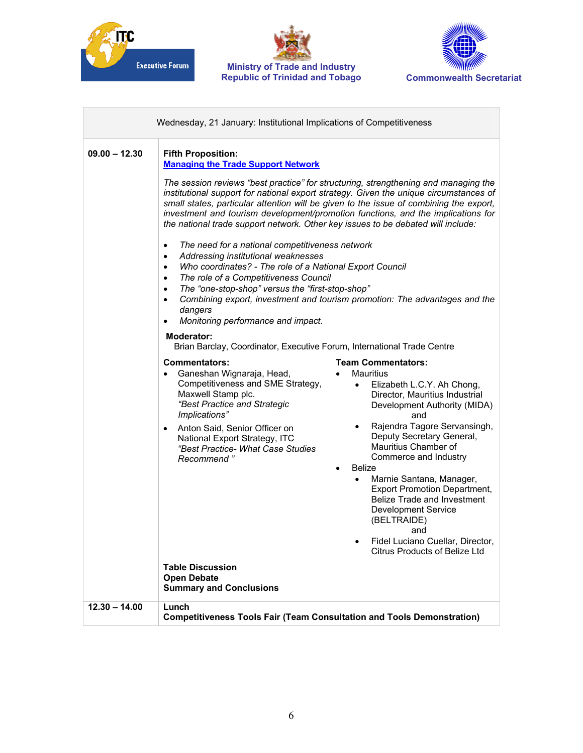





| $09.00 - 12.30$ | <b>Fifth Proposition:</b><br><b>Managing the Trade Support Network</b>                                                                                                                                                                                                                                                                                                                                                                                                                                                                                                                                                                                                                                                                                                                                                                                   |
|-----------------|----------------------------------------------------------------------------------------------------------------------------------------------------------------------------------------------------------------------------------------------------------------------------------------------------------------------------------------------------------------------------------------------------------------------------------------------------------------------------------------------------------------------------------------------------------------------------------------------------------------------------------------------------------------------------------------------------------------------------------------------------------------------------------------------------------------------------------------------------------|
|                 | The session reviews "best practice" for structuring, strengthening and managing the<br>institutional support for national export strategy. Given the unique circumstances of<br>small states, particular attention will be given to the issue of combining the export,<br>investment and tourism development/promotion functions, and the implications for<br>the national trade support network. Other key issues to be debated will include:                                                                                                                                                                                                                                                                                                                                                                                                           |
|                 | The need for a national competitiveness network<br>$\bullet$<br>Addressing institutional weaknesses<br>$\bullet$<br>Who coordinates? - The role of a National Export Council<br>$\bullet$<br>The role of a Competitiveness Council<br>$\bullet$<br>The "one-stop-shop" versus the "first-stop-shop"<br>$\bullet$<br>Combining export, investment and tourism promotion: The advantages and the<br>$\bullet$<br>dangers<br>Monitoring performance and impact.                                                                                                                                                                                                                                                                                                                                                                                             |
|                 | <b>Moderator:</b><br>Brian Barclay, Coordinator, Executive Forum, International Trade Centre                                                                                                                                                                                                                                                                                                                                                                                                                                                                                                                                                                                                                                                                                                                                                             |
|                 | <b>Team Commentators:</b><br><b>Commentators:</b><br>Ganeshan Wignaraja, Head,<br>Mauritius<br>$\bullet$<br>Competitiveness and SME Strategy,<br>Elizabeth L.C.Y. Ah Chong,<br>$\bullet$<br>Maxwell Stamp plc.<br>Director, Mauritius Industrial<br>"Best Practice and Strategic<br>Development Authority (MIDA)<br>Implications"<br>and<br>Rajendra Tagore Servansingh,<br>$\bullet$<br>Anton Said, Senior Officer on<br>$\bullet$<br>Deputy Secretary General,<br>National Export Strategy, ITC<br>Mauritius Chamber of<br>"Best Practice- What Case Studies<br>Commerce and Industry<br>Recommend "<br>Belize<br>Marnie Santana, Manager,<br>$\bullet$<br><b>Export Promotion Department,</b><br>Belize Trade and Investment<br><b>Development Service</b><br>(BELTRAIDE)<br>and<br>Fidel Luciano Cuellar, Director,<br>Citrus Products of Belize Ltd |
|                 | <b>Table Discussion</b><br><b>Open Debate</b><br><b>Summary and Conclusions</b>                                                                                                                                                                                                                                                                                                                                                                                                                                                                                                                                                                                                                                                                                                                                                                          |